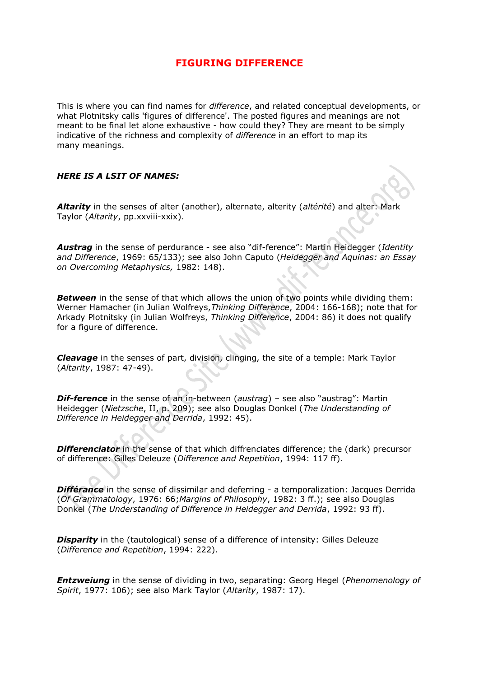## **FIGURING DIFFERENCE**

This is where you can find names for *difference*, and related conceptual developments, or what Plotnitsky calls 'figures of difference'. The posted figures and meanings are not meant to be final let alone exhaustive - how could they? They are meant to be simply indicative of the richness and complexity of *difference* in an effort to map its many meanings.

## *HERE IS A LSIT OF NAMES:*

*Altarity* in the senses of alter (another), alternate, alterity (*altérité*) and alter: Mark Taylor (*Altarity*, pp.xxviii-xxix).

*Austrag* in the sense of perdurance - see also "dif-ference": Martin Heidegger (*Identity and Difference*, 1969: 65/133); see also John Caputo (*Heidegger and Aquinas: an Essay on Overcoming Metaphysics,* 1982: 148).

**Between** in the sense of that which allows the union of two points while dividing them: Werner Hamacher (in Julian Wolfreys,*Thinking Difference*, 2004: 166-168); note that for Arkady Plotnitsky (in Julian Wolfreys, *Thinking Difference*, 2004: 86) it does not qualify for a figure of difference.

*Cleavage* in the senses of part, division, clinging, the site of a temple: Mark Taylor (*Altarity*, 1987: 47-49).

*Dif-ference* in the sense of an in-between (*austrag*) – see also "austrag": Martin Heidegger (*Nietzsche*, II, p. 209); see also Douglas Donkel (*The Understanding of Difference in Heidegger and Derrida*, 1992: 45).

*Differenciator* in the sense of that which diffren*c*iates difference; the (dark) precursor of difference: Gilles Deleuze (*Difference and Repetition*, 1994: 117 ff).

*Différance* in the sense of dissimilar and deferring - a temporalization: Jacques Derrida (*Of Grammatology*, 1976: 66;*Margins of Philosophy*, 1982: 3 ff.); see also Douglas Donkel (*The Understanding of Difference in Heidegger and Derrida*, 1992: 93 ff).

**Disparity** in the (tautological) sense of a difference of intensity: Gilles Deleuze (*Difference and Repetition*, 1994: 222).

*Entzweiung* in the sense of dividing in two, separating: Georg Hegel (*Phenomenology of Spirit*, 1977: 106); see also Mark Taylor (*Altarity*, 1987: 17).